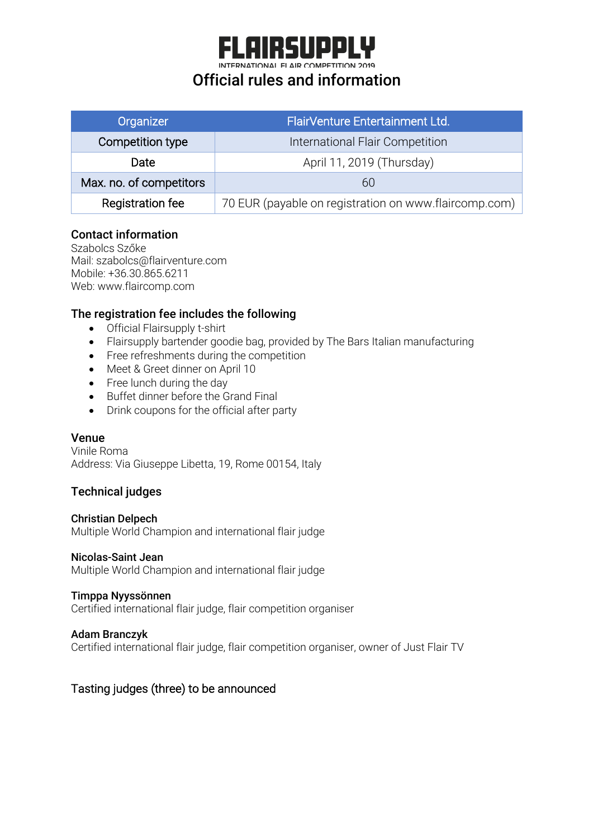# **AIRSUPPI**

INTERNATIONAL FLAIR COMPETITION 2019

## Official rules and information

| Organizer               | FlairVenture Entertainment Ltd.                       |
|-------------------------|-------------------------------------------------------|
| Competition type        | International Flair Competition                       |
| Date                    | April 11, 2019 (Thursday)                             |
| Max. no. of competitors | 6()                                                   |
| Registration fee        | 70 EUR (payable on registration on www.flaircomp.com) |

#### Contact information

Szabolcs Szőke Mail: szabolcs@flairventure.com Mobile: +36.30.865.6211 Web: www.flaircomp.com

#### The registration fee includes the following

- Official Flairsupply t-shirt
- Flairsupply bartender goodie bag, provided by The Bars Italian manufacturing
- Free refreshments during the competition
- Meet & Greet dinner on April 10
- Free lunch during the day
- Buffet dinner before the Grand Final
- Drink coupons for the official after party

#### Venue

Vinile Roma Address: Via Giuseppe Libetta, 19, Rome 00154, Italy

#### Technical judges

#### Christian Delpech

Multiple World Champion and international flair judge

#### Nicolas-Saint Jean

Multiple World Champion and international flair judge

#### Timppa Nyyssönnen

Certified international flair judge, flair competition organiser

#### Adam Branczyk

Certified international flair judge, flair competition organiser, owner of Just Flair TV

#### Tasting judges (three) to be announced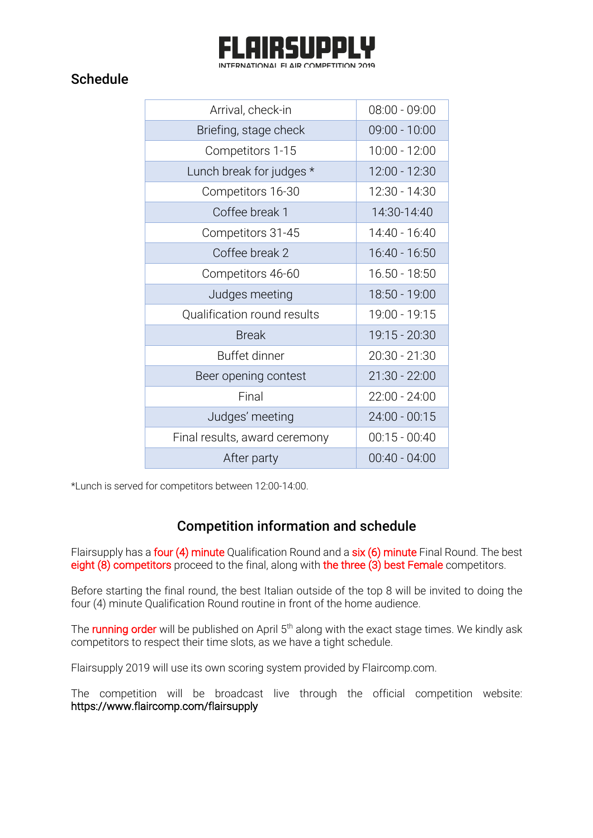

## **Schedule**

| Arrival, check-in             | $08:00 - 09:00$ |
|-------------------------------|-----------------|
| Briefing, stage check         | $09:00 - 10:00$ |
| Competitors 1-15              | 10:00 - 12:00   |
| Lunch break for judges *      | 12:00 - 12:30   |
| Competitors 16-30             | 12:30 - 14:30   |
| Coffee break 1                | 14:30-14:40     |
| Competitors 31-45             | 14:40 - 16:40   |
| Coffee break 2                | 16:40 - 16:50   |
| Competitors 46-60             | 16.50 - 18:50   |
| Judges meeting                | 18:50 - 19:00   |
| Qualification round results   | 19:00 - 19:15   |
| <b>Break</b>                  | 19:15 - 20:30   |
| Buffet dinner                 | $20:30 - 21:30$ |
| Beer opening contest          | $21:30 - 22:00$ |
| Final                         | 22:00 - 24:00   |
| Judges' meeting               | $24:00 - 00:15$ |
| Final results, award ceremony | $00:15 - 00:40$ |
| After party                   | 00:40 - 04:00   |

\*Lunch is served for competitors between 12:00-14:00.

## Competition information and schedule

Flairsupply has a **four (4) minute** Qualification Round and a **six (6) minute** Final Round. The best eight (8) competitors proceed to the final, along with the three (3) best Female competitors.

Before starting the final round, the best Italian outside of the top 8 will be invited to doing the four (4) minute Qualification Round routine in front of the home audience.

The **running order** will be published on April 5<sup>th</sup> along with the exact stage times. We kindly ask competitors to respect their time slots, as we have a tight schedule.

Flairsupply 2019 will use its own scoring system provided by Flaircomp.com.

The competition will be broadcast live through the official competition website: https://www.flaircomp.com/flairsupply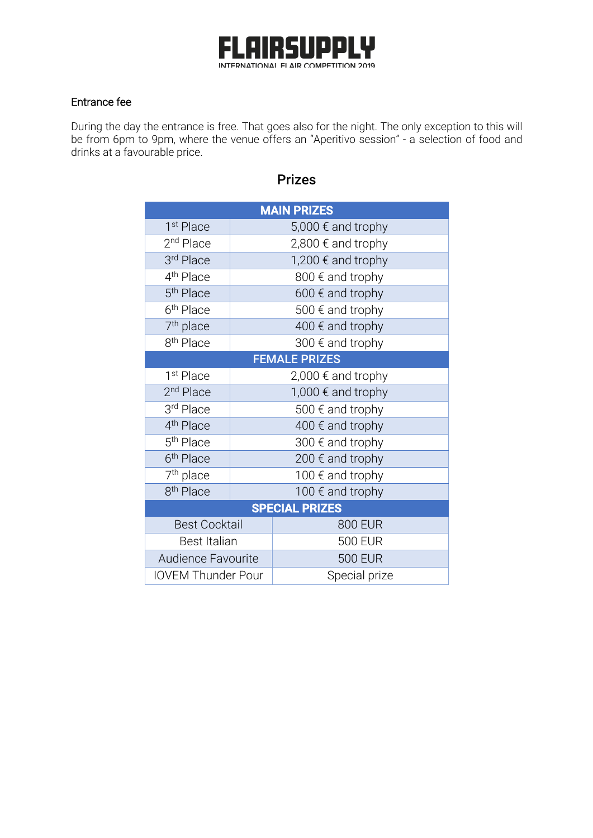

#### Entrance fee

During the day the entrance is free. That goes also for the night. The only exception to this will be from 6pm to 9pm, where the venue offers an "Aperitivo session" - a selection of food and drinks at a favourable price.

| <b>MAIN PRIZES</b>        |                           |                  |  |
|---------------------------|---------------------------|------------------|--|
| 1 <sup>st</sup> Place     | 5,000 € and trophy        |                  |  |
| 2 <sup>nd</sup> Place     | 2,800 € and trophy        |                  |  |
| 3rd Place                 | 1,200 € and trophy        |                  |  |
| 4 <sup>th</sup> Place     | 800 € and trophy          |                  |  |
| 5 <sup>th</sup> Place     | 600 $\epsilon$ and trophy |                  |  |
| 6 <sup>th</sup> Place     |                           | 500 € and trophy |  |
| 7 <sup>th</sup> place     |                           | 400 € and trophy |  |
| 8 <sup>th</sup> Place     | 300 € and trophy          |                  |  |
| <b>FEMALE PRIZES</b>      |                           |                  |  |
| 1 <sup>st</sup> Place     | 2,000 € and trophy        |                  |  |
| 2 <sup>nd</sup> Place     | 1,000 € and trophy        |                  |  |
| 3rd Place                 | 500 € and trophy          |                  |  |
| 4 <sup>th</sup> Place     | 400 $\epsilon$ and trophy |                  |  |
| 5 <sup>th</sup> Place     | 300 € and trophy          |                  |  |
| 6 <sup>th</sup> Place     | 200 € and trophy          |                  |  |
| 7 <sup>th</sup> place     | 100 € and trophy          |                  |  |
| 8 <sup>th</sup> Place     | 100 € and trophy          |                  |  |
| <b>SPECIAL PRIZES</b>     |                           |                  |  |
| <b>Best Cocktail</b>      |                           | <b>800 EUR</b>   |  |
| <b>Best Italian</b>       |                           | <b>500 EUR</b>   |  |
| Audience Favourite        |                           | <b>500 EUR</b>   |  |
| <b>IOVEM Thunder Pour</b> |                           | Special prize    |  |

## Prizes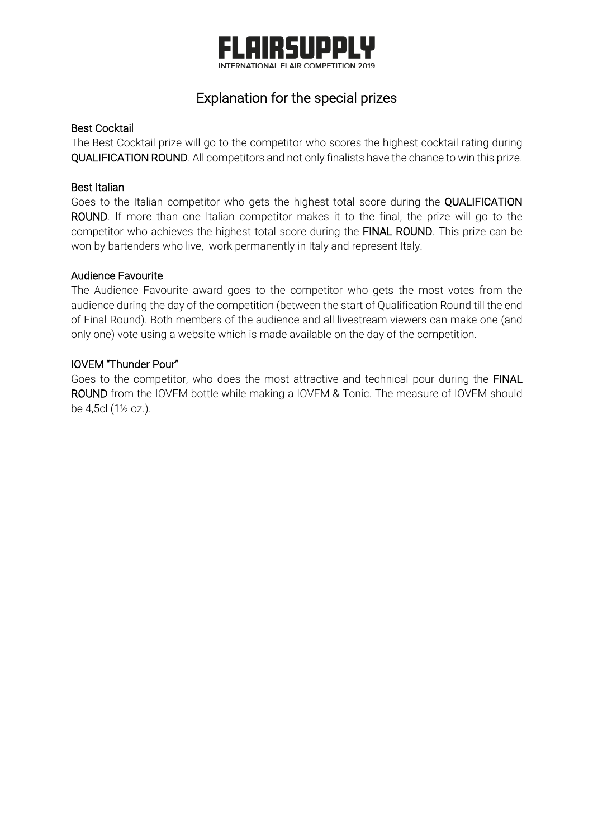

## Explanation for the special prizes

#### Best Cocktail

The Best Cocktail prize will go to the competitor who scores the highest cocktail rating during QUALIFICATION ROUND. All competitors and not only finalists have the chance to win this prize.

#### Best Italian

Goes to the Italian competitor who gets the highest total score during the QUALIFICATION ROUND. If more than one Italian competitor makes it to the final, the prize will go to the competitor who achieves the highest total score during the FINAL ROUND. This prize can be won by bartenders who live, work permanently in Italy and represent Italy.

#### Audience Favourite

The Audience Favourite award goes to the competitor who gets the most votes from the audience during the day of the competition (between the start of Qualification Round till the end of Final Round). Both members of the audience and all livestream viewers can make one (and only one) vote using a website which is made available on the day of the competition.

#### IOVEM "Thunder Pour"

Goes to the competitor, who does the most attractive and technical pour during the FINAL ROUND from the IOVEM bottle while making a IOVEM & Tonic. The measure of IOVEM should be 4,5cl (1½ oz.).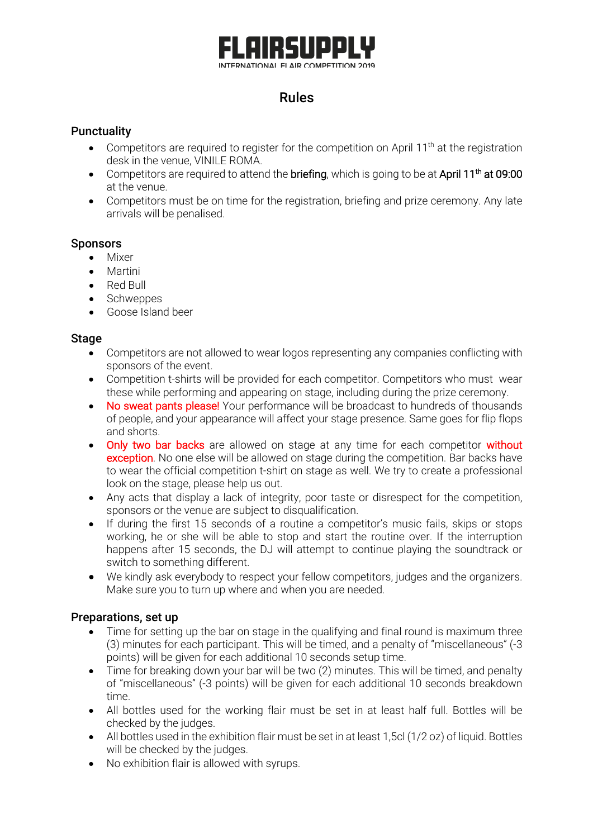## R 511 INTERNATIONAL FLAIR COMPETITION 2019

## Rules

#### **Punctuality**

- Competitors are required to register for the competition on April 11<sup>th</sup> at the registration desk in the venue, VINILE ROMA.
- Competitors are required to attend the **briefing**, which is going to be at April  $11<sup>th</sup>$  at 09:00 at the venue.
- Competitors must be on time for the registration, briefing and prize ceremony. Any late arrivals will be penalised.

#### **Sponsors**

- Mixer
- Martini
- Red Bull
- Schweppes
- Goose Island beer

#### Stage

- Competitors are not allowed to wear logos representing any companies conflicting with sponsors of the event.
- Competition t-shirts will be provided for each competitor. Competitors who must wear these while performing and appearing on stage, including during the prize ceremony.
- No sweat pants please! Your performance will be broadcast to hundreds of thousands of people, and your appearance will affect your stage presence. Same goes for flip flops and shorts.
- Only two bar backs are allowed on stage at any time for each competitor without exception. No one else will be allowed on stage during the competition. Bar backs have to wear the official competition t-shirt on stage as well. We try to create a professional look on the stage, please help us out.
- Any acts that display a lack of integrity, poor taste or disrespect for the competition, sponsors or the venue are subject to disqualification.
- If during the first 15 seconds of a routine a competitor's music fails, skips or stops working, he or she will be able to stop and start the routine over. If the interruption happens after 15 seconds, the DJ will attempt to continue playing the soundtrack or switch to something different.
- We kindly ask everybody to respect your fellow competitors, judges and the organizers. Make sure you to turn up where and when you are needed.

#### Preparations, set up

- Time for setting up the bar on stage in the qualifying and final round is maximum three (3) minutes for each participant. This will be timed, and a penalty of "miscellaneous" (-3 points) will be given for each additional 10 seconds setup time.
- Time for breaking down your bar will be two (2) minutes. This will be timed, and penalty of "miscellaneous" (-3 points) will be given for each additional 10 seconds breakdown time.
- All bottles used for the working flair must be set in at least half full. Bottles will be checked by the judges.
- All bottles used in the exhibition flair must be set in at least 1.5cl (1/2 oz) of liquid. Bottles will be checked by the judges.
- No exhibition flair is allowed with syrups.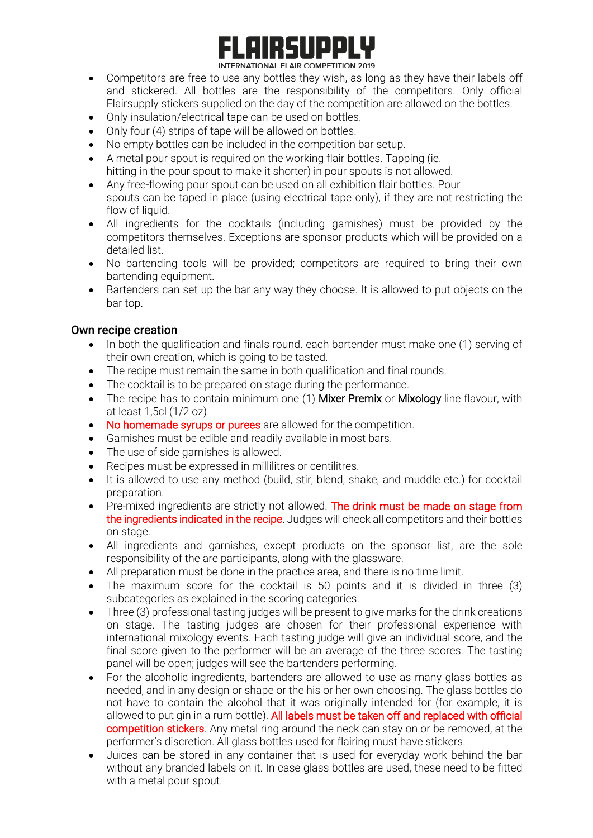# IRGIID :

#### INTERNATIONAL FLAIR COMPETITION 2019

- Competitors are free to use any bottles they wish, as long as they have their labels off and stickered. All bottles are the responsibility of the competitors. Only official Flairsupply stickers supplied on the day of the competition are allowed on the bottles.
- Only insulation/electrical tape can be used on bottles.
- Only four (4) strips of tape will be allowed on bottles.
- No empty bottles can be included in the competition bar setup.
- A metal pour spout is required on the working flair bottles. Tapping (ie. hitting in the pour spout to make it shorter) in pour spouts is not allowed.
- Any free-flowing pour spout can be used on all exhibition flair bottles. Pour spouts can be taped in place (using electrical tape only), if they are not restricting the flow of liquid.
- All ingredients for the cocktails (including garnishes) must be provided by the competitors themselves. Exceptions are sponsor products which will be provided on a detailed list.
- No bartending tools will be provided; competitors are required to bring their own bartending equipment.
- Bartenders can set up the bar any way they choose. It is allowed to put objects on the bar top.

#### Own recipe creation

- In both the qualification and finals round. each bartender must make one (1) serving of their own creation, which is going to be tasted.
- The recipe must remain the same in both qualification and final rounds.
- The cocktail is to be prepared on stage during the performance.
- The recipe has to contain minimum one (1) Mixer Premix or Mixology line flavour, with at least 1,5cl (1/2 oz).
- No homemade syrups or purees are allowed for the competition.
- Garnishes must be edible and readily available in most bars.
- The use of side garnishes is allowed.
- Recipes must be expressed in millilitres or centilitres.
- It is allowed to use any method (build, stir, blend, shake, and muddle etc.) for cocktail preparation.
- Pre-mixed ingredients are strictly not allowed. The drink must be made on stage from the ingredients indicated in the recipe. Judges will check all competitors and their bottles on stage.
- All ingredients and garnishes, except products on the sponsor list, are the sole responsibility of the are participants, along with the glassware.
- All preparation must be done in the practice area, and there is no time limit.
- The maximum score for the cocktail is 50 points and it is divided in three (3) subcategories as explained in the scoring categories.
- Three (3) professional tasting judges will be present to give marks for the drink creations on stage. The tasting judges are chosen for their professional experience with international mixology events. Each tasting judge will give an individual score, and the final score given to the performer will be an average of the three scores. The tasting panel will be open; judges will see the bartenders performing.
- For the alcoholic ingredients, bartenders are allowed to use as many glass bottles as needed, and in any design or shape or the his or her own choosing. The glass bottles do not have to contain the alcohol that it was originally intended for (for example, it is allowed to put gin in a rum bottle). All labels must be taken off and replaced with official competition stickers. Any metal ring around the neck can stay on or be removed, at the performer's discretion. All glass bottles used for flairing must have stickers.
- Juices can be stored in any container that is used for everyday work behind the bar without any branded labels on it. In case glass bottles are used, these need to be fitted with a metal pour spout.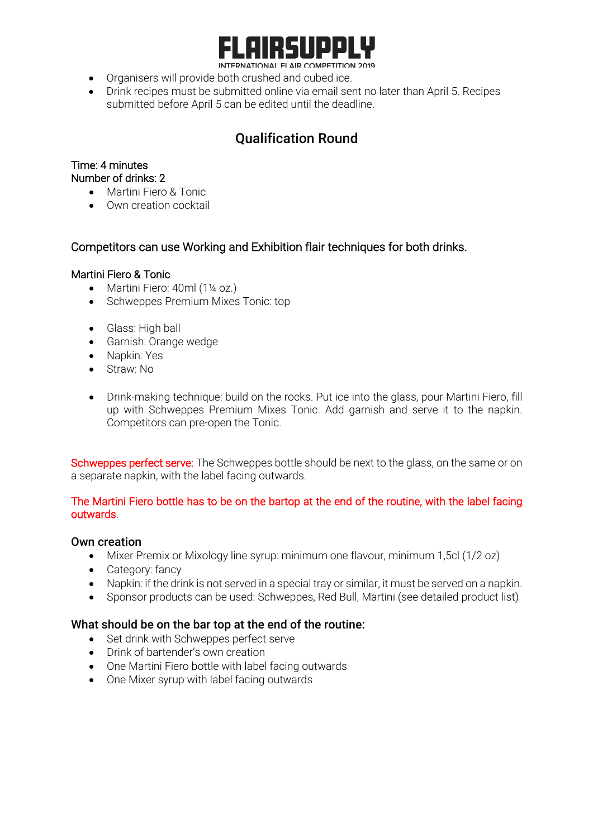

INTERNATIONAL FLAIR COMPETITION 2019

- Organisers will provide both crushed and cubed ice.
- Drink recipes must be submitted online via email sent no later than April 5. Recipes submitted before April 5 can be edited until the deadline.

## Qualification Round

#### Time: 4 minutes

#### Number of drinks: 2

- Martini Fiero & Tonic
- Own creation cocktail

#### Competitors can use Working and Exhibition flair techniques for both drinks.

#### Martini Fiero & Tonic

- Martini Fiero: 40ml (1¼ oz.)
- Schweppes Premium Mixes Tonic: top
- Glass: High ball
- Garnish: Orange wedge
- Napkin: Yes
- Straw: No
- Drink-making technique: build on the rocks. Put ice into the glass, pour Martini Fiero, fill up with Schweppes Premium Mixes Tonic. Add garnish and serve it to the napkin. Competitors can pre-open the Tonic.

Schweppes perfect serve: The Schweppes bottle should be next to the glass, on the same or on a separate napkin, with the label facing outwards.

#### The Martini Fiero bottle has to be on the bartop at the end of the routine, with the label facing outwards.

#### Own creation

- Mixer Premix or Mixology line syrup: minimum one flavour, minimum 1,5cl (1/2 oz)
- Category: fancy
- Napkin: if the drink is not served in a special tray or similar, it must be served on a napkin.
- Sponsor products can be used: Schweppes, Red Bull, Martini (see detailed product list)

#### What should be on the bar top at the end of the routine:

- Set drink with Schweppes perfect serve
- Drink of bartender's own creation
- One Martini Fiero bottle with label facing outwards
- One Mixer syrup with label facing outwards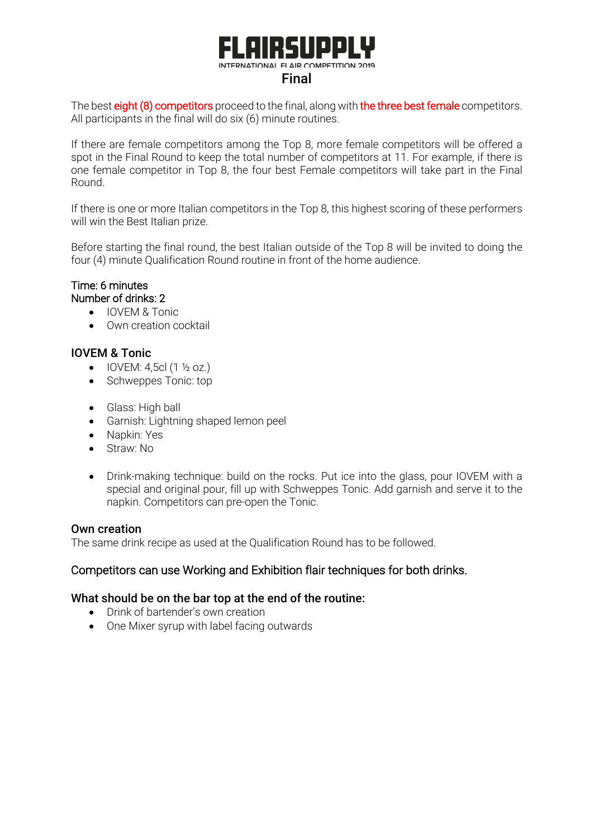## **RGIID** INTERNATIONAL FLAIR COMPETITION 2019 Final

The best eight (8) competitors proceed to the final, along with the three best female competitors. All participants in the final will do six (6) minute routines.

If there are female competitors among the Top 8, more female competitors will be offered a spot in the Final Round to keep the total number of competitors at 11. For example, if there is one female competitor in Top 8, the four best Female competitors will take part in the Final Round.

If there is one or more Italian competitors in the Top 8, this highest scoring of these performers will win the Best Italian prize.

Before starting the final round, the best Italian outside of the Top 8 will be invited to doing the four (4) minute Qualification Round routine in front of the home audience.

#### Time: 6 minutes Number of drinks: 2

- IOVEM & Tonic
- Own creation cocktail

#### IOVEM & Tonic

- IOVEM:  $4,5c1$  (1  $\frac{1}{2}$  oz.)
- Schweppes Tonic: top
- Glass: High ball
- Garnish: Lightning shaped lemon peel
- Napkin: Yes
- Straw: No
- Drink-making technique: build on the rocks. Put ice into the glass, pour IOVEM with a special and original pour, fill up with Schweppes Tonic. Add garnish and serve it to the napkin. Competitors can pre-open the Tonic.

#### Own creation

The same drink recipe as used at the Qualification Round has to be followed.

#### Competitors can use Working and Exhibition flair techniques for both drinks.

#### What should be on the bar top at the end of the routine:

- Drink of bartender's own creation
- One Mixer syrup with label facing outwards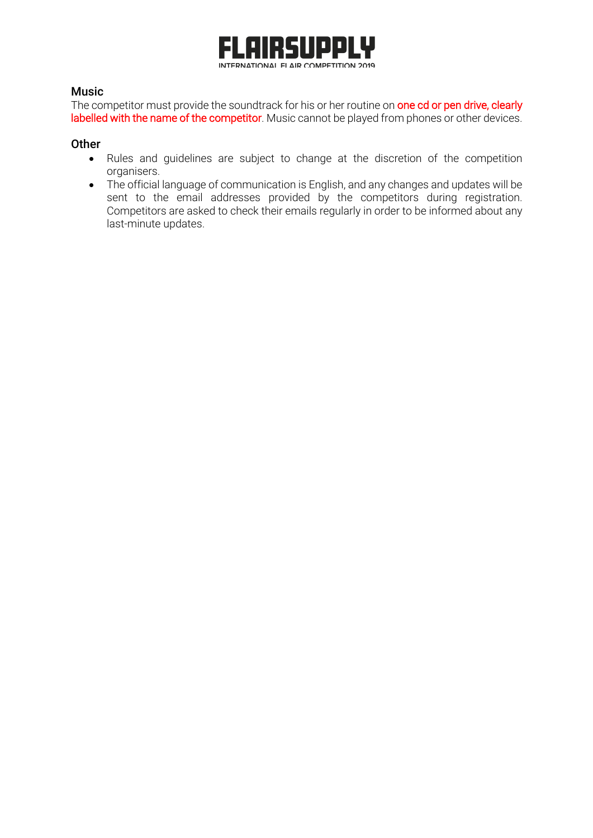

#### Music

The competitor must provide the soundtrack for his or her routine on one cd or pen drive, clearly labelled with the name of the competitor. Music cannot be played from phones or other devices.

#### **Other**

- Rules and guidelines are subject to change at the discretion of the competition organisers.
- The official language of communication is English, and any changes and updates will be sent to the email addresses provided by the competitors during registration. Competitors are asked to check their emails regularly in order to be informed about any last-minute updates.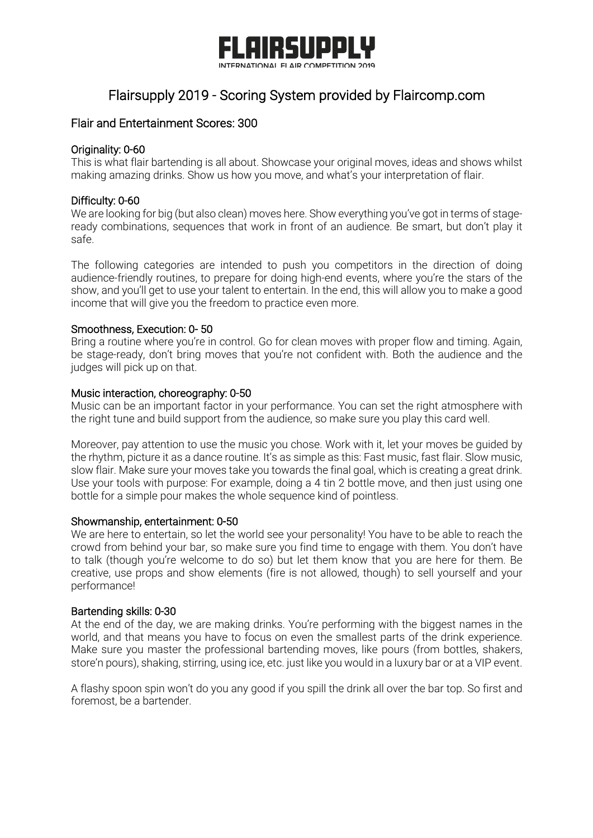

## Flairsupply 2019 - Scoring System provided by Flaircomp.com

#### Flair and Entertainment Scores: 300

#### Originality: 0-60

This is what flair bartending is all about. Showcase your original moves, ideas and shows whilst making amazing drinks. Show us how you move, and what's your interpretation of flair.

#### Difficulty: 0-60

We are looking for big (but also clean) moves here. Show everything you've got in terms of stageready combinations, sequences that work in front of an audience. Be smart, but don't play it safe.

The following categories are intended to push you competitors in the direction of doing audience-friendly routines, to prepare for doing high-end events, where you're the stars of the show, and you'll get to use your talent to entertain. In the end, this will allow you to make a good income that will give you the freedom to practice even more.

#### Smoothness, Execution: 0- 50

Bring a routine where you're in control. Go for clean moves with proper flow and timing. Again, be stage-ready, don't bring moves that you're not confident with. Both the audience and the judges will pick up on that.

#### Music interaction, choreography: 0-50

Music can be an important factor in your performance. You can set the right atmosphere with the right tune and build support from the audience, so make sure you play this card well.

Moreover, pay attention to use the music you chose. Work with it, let your moves be guided by the rhythm, picture it as a dance routine. It's as simple as this: Fast music, fast flair. Slow music, slow flair. Make sure your moves take you towards the final goal, which is creating a great drink. Use your tools with purpose: For example, doing a 4 tin 2 bottle move, and then just using one bottle for a simple pour makes the whole sequence kind of pointless.

#### Showmanship, entertainment: 0-50

We are here to entertain, so let the world see your personality! You have to be able to reach the crowd from behind your bar, so make sure you find time to engage with them. You don't have to talk (though you're welcome to do so) but let them know that you are here for them. Be creative, use props and show elements (fire is not allowed, though) to sell yourself and your performance!

#### Bartending skills: 0-30

At the end of the day, we are making drinks. You're performing with the biggest names in the world, and that means you have to focus on even the smallest parts of the drink experience. Make sure you master the professional bartending moves, like pours (from bottles, shakers, store'n pours), shaking, stirring, using ice, etc. just like you would in a luxury bar or at a VIP event.

A flashy spoon spin won't do you any good if you spill the drink all over the bar top. So first and foremost, be a bartender.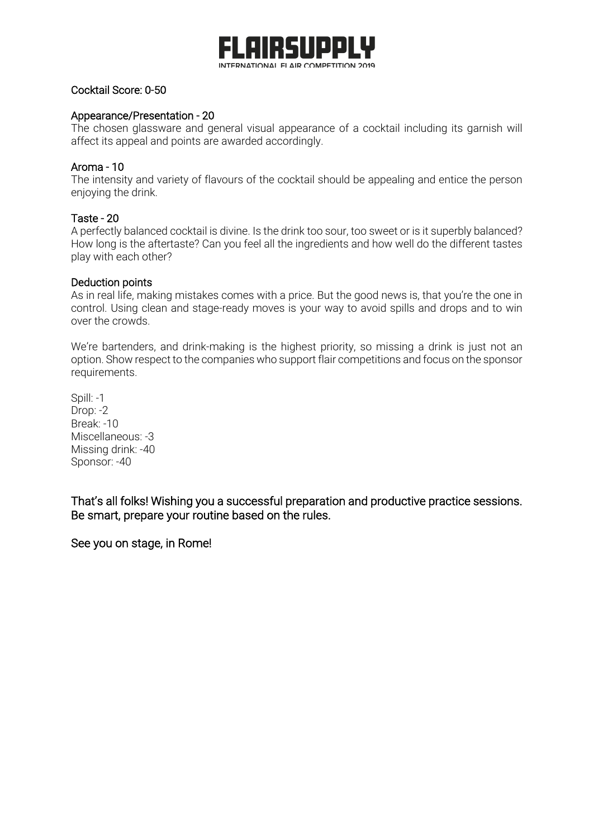

#### Cocktail Score: 0-50

#### Appearance/Presentation - 20

The chosen glassware and general visual appearance of a cocktail including its garnish will affect its appeal and points are awarded accordingly.

#### Aroma - 10

The intensity and variety of flavours of the cocktail should be appealing and entice the person enjoying the drink.

#### Taste - 20

A perfectly balanced cocktail is divine. Is the drink too sour, too sweet or is it superbly balanced? How long is the aftertaste? Can you feel all the ingredients and how well do the different tastes play with each other?

#### Deduction points

As in real life, making mistakes comes with a price. But the good news is, that you're the one in control. Using clean and stage-ready moves is your way to avoid spills and drops and to win over the crowds.

We're bartenders, and drink-making is the highest priority, so missing a drink is just not an option. Show respect to the companies who support flair competitions and focus on the sponsor requirements.

Spill: -1 Drop: -2 Break: -10 Miscellaneous: -3 Missing drink: -40 Sponsor: -40

That's all folks! Wishing you a successful preparation and productive practice sessions. Be smart, prepare your routine based on the rules.

See you on stage, in Rome!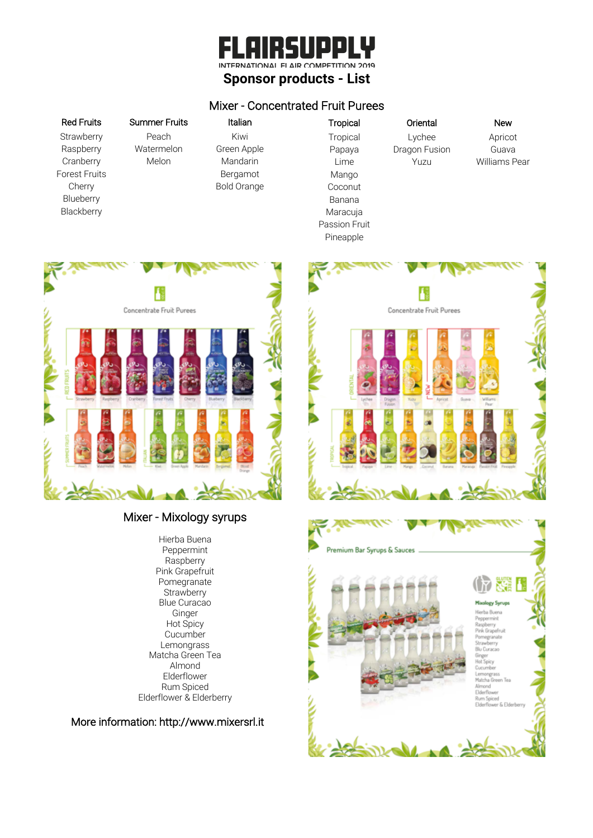#### $\frac{1}{2}$  $\blacksquare$  $\blacksquare$ ΙΝΤΕRΝΔΤΙΟΝΔΙ ΕΙ ΔΙΡ COMPETITION 2019 **Sponsor products - List**

#### Mixer - Concentrated Fruit Purees

#### Red Fruits Summer Fruits Italian

**Strawberry** Raspberry **Cranberry** Forest Fruits Cherry Blueberry **Blackberry** 

## Peach

Watermelon Melon

Kiwi Green Apple Mandarin Bergamot Bold Orange

Tropical Oriental New **Tropical** Papaya Lime Mango Coconut Banana Maracuja Passion Fruit Pineapple

Lychee Dragon Fusion Yuzu

Apricot Guava Williams Pear



#### Mixer - Mixology syrups

Hierba Buena Peppermint Raspberry Pink Grapefruit Pomegranate **Strawberry** Blue Curacao Ginger Hot Spicy Cucumber Lemongrass Matcha Green Tea Almond Elderflower Rum Spiced Elderflower & Elderberry

More information: http://www.mixersrl.it